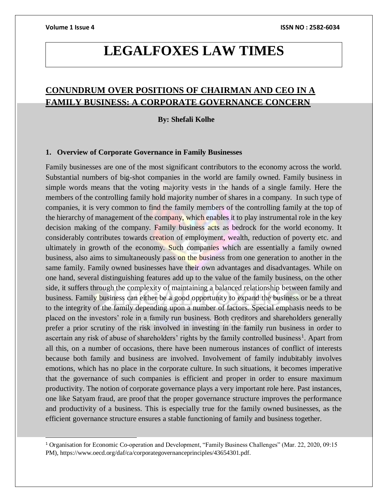l

# **LEGALFOXES LAW TIMES**

## **CONUNDRUM OVER POSITIONS OF CHAIRMAN AND CEO IN A FAMILY BUSINESS: A CORPORATE GOVERNANCE CONCERN**

 **By: Shefali Kolhe**

### **1. Overview of Corporate Governance in Family Businesses**

Family businesses are one of the most significant contributors to the economy across the world. Substantial numbers of big-shot companies in the world are family owned. Family business in simple words means that the voting majority vests in the hands of a single family. Here the members of the controlling family hold majority number of shares in a company. In such type of companies, it is very common to find the family members of the controlling family at the top of the hierarchy of management of the company, which enables it to play instrumental role in the key decision making of the company. Family business acts as bedrock for the world economy. It considerably contributes towards creation of employment, wealth, reduction of poverty etc. and ultimately in growth of the economy. Such companies which are essentially a family owned business, also aims to simultaneously pass on the business from one generation to another in the same family. Family owned businesses have their own advantages and disadvantages. While on one hand, several distinguishing features add up to the value of the family business, on the other side, it suffers through the complexity of maintaining a balanced relationship between family and business. Family business can either be a good opportunity to expand the business or be a threat to the integrity of the family depending upon a number of factors. Special emphasis needs to be placed on the investors' role in a family run business. Both creditors and shareholders generally prefer a prior scrutiny of the risk involved in investing in the family run business in order to ascertain any risk of abuse of shareholders' rights by the family controlled business<sup>1</sup>. Apart from all this, on a number of occasions, there have been numerous instances of conflict of interests because both family and business are involved. Involvement of family indubitably involves emotions, which has no place in the corporate culture. In such situations, it becomes imperative that the governance of such companies is efficient and proper in order to ensure maximum productivity. The notion of corporate governance plays a very important role here. Past instances, one like Satyam fraud, are proof that the proper governance structure improves the performance and productivity of a business. This is especially true for the family owned businesses, as the efficient governance structure ensures a stable functioning of family and business together.

<sup>1</sup> Organisation for Economic Co-operation and Development, "Family Business Challenges" (Mar. 22, 2020, 09:15 PM), https://www.oecd.org/daf/ca/corporategovernanceprinciples/43654301.pdf.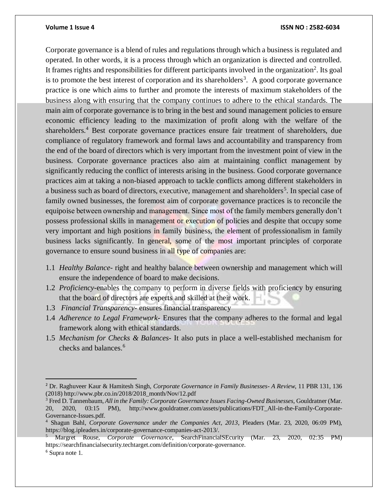Corporate governance is a blend of rules and regulations through which a business is regulated and operated. In other words, it is a process through which an organization is directed and controlled. It frames rights and responsibilities for different participants involved in the organization<sup>2</sup>. Its goal is to promote the best interest of corporation and its shareholders<sup>3</sup>. A good corporate governance practice is one which aims to further and promote the interests of maximum stakeholders of the business along with ensuring that the company continues to adhere to the ethical standards. The main aim of corporate governance is to bring in the best and sound management policies to ensure economic efficiency leading to the maximization of profit along with the welfare of the shareholders.<sup>4</sup> Best corporate governance practices ensure fair treatment of shareholders, due compliance of regulatory framework and formal laws and accountability and transparency from the end of the board of directors which is very important from the investment point of view in the business. Corporate governance practices also aim at maintaining conflict management by significantly reducing the conflict of interests arising in the business. Good corporate governance practices aim at taking a non-biased approach to tackle conflicts among different stakeholders in a business such as board of directors, executive, management and shareholders<sup>5</sup>. In special case of family owned businesses, the foremost aim of corporate governance practices is to reconcile the equipoise between ownership and management. Since most of the family members generally don't possess professional skills in management or execution of policies and despite that occupy some very important and high positions in family business, the element of professionalism in family business lacks significantly. In general, some of the most important principles of corporate governance to ensure sound business in all type of companies are:

- 1.1 *Healthy Balance* right and healthy balance between ownership and management which will ensure the independence of board to make decisions.
- 1.2 *Proficiency*-enables the company to perform in diverse fields with proficiency by ensuring that the board of directors are experts and skilled at their work.
- 1.3 *Financial Transparency* ensures financial transparency
- 1.4 *Adherence to Legal Framework* Ensures that the company adheres to the formal and legal framework along with ethical standards.
- 1.5 *Mechanism for Checks & Balances* It also puts in place a well-established mechanism for checks and balances. 6

 $\overline{a}$ 

<sup>2</sup> Dr. Raghuveer Kaur & Hamitesh Singh, *Corporate Governance in Family Businesses- A Review*, 11 PBR 131, 136 (2018) http://www.pbr.co.in/2018/2018\_month/Nov/12.pdf

<sup>3</sup> Fred D. Tannenbaum, *All in the Family: Corporate Governance Issues Facing-Owned Businesses,* Gouldratner (Mar. 20, 2020, 03:15 PM), http://www.gouldratner.com/assets/publications/FDT\_All-in-the-Family-Corporate-Governance-Issues.pdf.

<sup>4</sup> Shagun Bahl, *Corporate Governance under the Companies Act, 2013*, Pleaders (Mar. 23, 2020, 06:09 PM), https://blog.ipleaders.in/corporate-governance-companies-act-2013/.

<sup>5</sup> Margret Rouse, *Corporate Governance*, SearchFinancialSEcurity (Mar. 23, 2020, 02:35 PM) https://searchfinancialsecurity.techtarget.com/definition/corporate-governance.

<sup>6</sup> Supra note 1.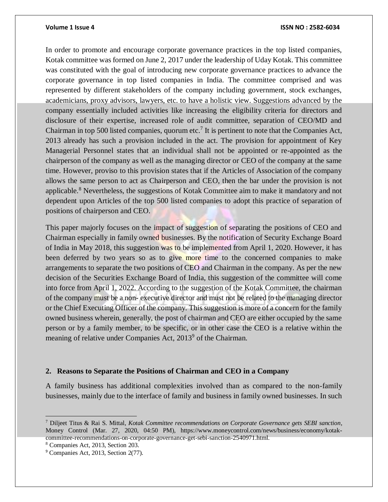In order to promote and encourage corporate governance practices in the top listed companies, Kotak committee was formed on June 2, 2017 under the leadership of Uday Kotak. This committee was constituted with the goal of introducing new corporate governance practices to advance the corporate governance in top listed companies in India. The committee comprised and was represented by different stakeholders of the company including government, stock exchanges, academicians, proxy advisors, lawyers, etc. to have a holistic view. Suggestions advanced by the company essentially included activities like increasing the eligibility criteria for directors and disclosure of their expertise, increased role of audit committee, separation of CEO/MD and Chairman in top 500 listed companies, quorum etc.<sup>7</sup> It is pertinent to note that the Companies Act, 2013 already has such a provision included in the act. The provision for appointment of Key Managerial Personnel states that an individual shall not be appointed or re-appointed as the chairperson of the company as well as the managing director or CEO of the company at the same time. However, proviso to this provision states that if the Articles of Association of the company allows the same person to act as Chairperson and CEO, then the bar under the provision is not applicable.<sup>8</sup> Nevertheless, the suggestions of Kotak Committee aim to make it mandatory and not dependent upon Articles of the top 500 listed companies to adopt this practice of separation of positions of chairperson and CEO.

This paper majorly focuses on the impact of suggestion of separating the positions of CEO and Chairman especially in family owned businesses. By the notification of Security Exchange Board of India in May 2018, this suggestion was to be implemented from April 1, 2020. However, it has been deferred by two years so as to give more time to the concerned companies to make arrangements to separate the two positions of CEO and Chairman in the company. As per the new decision of the Securities Exchange Board of India, this suggestion of the committee will come into force from April 1, 2022. According to the suggestion of the Kotak Committee, the chairman of the company must be a non- executive director and must not be related to the managing director or the Chief Executing Officer of the company. This suggestion is more of a concern for the family owned business wherein, generally, the post of chairman and CEO are either occupied by the same person or by a family member, to be specific, or in other case the CEO is a relative within the meaning of relative under Companies Act, 2013<sup>9</sup> of the Chairman.

### **2. Reasons to Separate the Positions of Chairman and CEO in a Company**

A family business has additional complexities involved than as compared to the non-family businesses, mainly due to the interface of family and business in family owned businesses. In such

 $\overline{a}$ 

<sup>7</sup> Diljeet Titus & Rai S. Mittal, *Kotak Committee recommendations on Corporate Governance gets SEBI sanction*, Money Control (Mar. 27, 2020, 04:50 PM), https://www.moneycontrol.com/news/business/economy/kotakcommittee-recommendations-on-corporate-governance-get-sebi-sanction-2540971.html.

<sup>8</sup> Companies Act, 2013, Section 203.

<sup>9</sup> Companies Act, 2013, Section 2(77).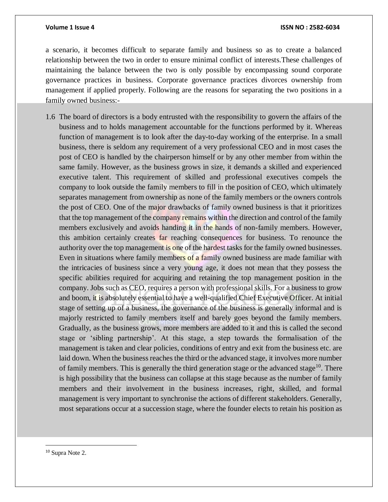a scenario, it becomes difficult to separate family and business so as to create a balanced relationship between the two in order to ensure minimal conflict of interests.These challenges of maintaining the balance between the two is only possible by encompassing sound corporate governance practices in business. Corporate governance practices divorces ownership from management if applied properly. Following are the reasons for separating the two positions in a family owned business:-

1.6 The board of directors is a body entrusted with the responsibility to govern the affairs of the business and to holds management accountable for the functions performed by it. Whereas function of management is to look after the day-to-day working of the enterprise. In a small business, there is seldom any requirement of a very professional CEO and in most cases the post of CEO is handled by the chairperson himself or by any other member from within the same family. However, as the business grows in size, it demands a skilled and experienced executive talent. This requirement of skilled and professional executives compels the company to look outside the family members to fill in the position of CEO, which ultimately separates management from ownership as none of the family members or the owners controls the post of CEO. One of the major drawbacks of family owned business is that it prioritizes that the top management of the company remains within the direction and control of the family members exclusively and avoids handing it in the hands of non-family members. However, this ambition certainly creates far reaching consequences for business. To renounce the authority over the top management is one of the hardest tasks for the family owned businesses. Even in situations where family members of a family owned business are made familiar with the intricacies of business since a very young age, it does not mean that they possess the specific abilities required for acquiring and retaining the top management position in the company. Jobs such as CEO, requires a person with professional skills. For a business to grow and boom, it is absolutely essential to have a well-qualified Chief Executive Officer. At initial stage of setting up of a business, the governance of the business is generally informal and is majorly restricted to family members itself and barely goes beyond the family members. Gradually, as the business grows, more members are added to it and this is called the second stage or 'sibling partnership'. At this stage, a step towards the formalisation of the management is taken and clear policies, conditions of entry and exit from the business etc. are laid down. When the business reaches the third or the advanced stage, it involves more number of family members. This is generally the third generation stage or the advanced stage<sup>10</sup>. There is high possibility that the business can collapse at this stage because as the number of family members and their involvement in the business increases, right, skilled, and formal management is very important to synchronise the actions of different stakeholders. Generally, most separations occur at a succession stage, where the founder elects to retain his position as

 $\overline{a}$ 

<sup>10</sup> Supra Note 2.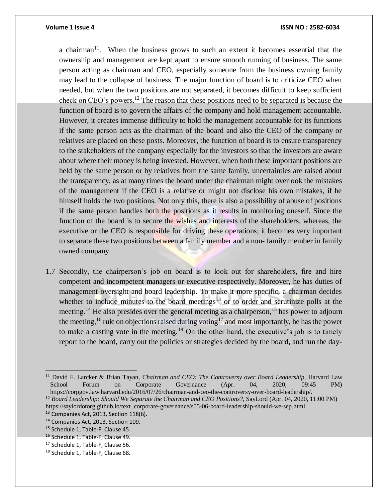a chairman<sup>11</sup>. When the business grows to such an extent it becomes essential that the ownership and management are kept apart to ensure smooth running of business. The same person acting as chairman and CEO, especially someone from the business owning family may lead to the collapse of business. The major function of board is to criticize CEO when needed, but when the two positions are not separated, it becomes difficult to keep sufficient check on CEO's powers.<sup>12</sup> The reason that these positions need to be separated is because the function of board is to govern the affairs of the company and hold management accountable. However, it creates immense difficulty to hold the management accountable for its functions if the same person acts as the chairman of the board and also the CEO of the company or relatives are placed on these posts. Moreover, the function of board is to ensure transparency to the stakeholders of the company especially for the investors so that the investors are aware about where their money is being invested. However, when both these important positions are held by the same person or by relatives from the same family, uncertainties are raised about the transparency, as at many times the board under the chairman might overlook the mistakes of the management if the CEO is a relative or might not disclose his own mistakes, if he himself holds the two positions. Not only this, there is also a possibility of abuse of positions if the same person handles both the positions as it results in monitoring oneself. Since the function of the board is to secure the wishes and interests of the shareholders, whereas, the executive or the CEO is responsible for driving these operations; it becomes very important to separate these two positions between a family member and a non- family member in family owned company.

1.7 Secondly, the chairperson's job on board is to look out for shareholders, fire and hire competent and incompetent managers or executive respectively. Moreover, he has duties of management oversight and board leadership. To make it more specific, a chairman decides whether to include minutes to the board meetings<sup>13</sup> or to order and scrutinize polls at the meeting.<sup>14</sup> He also presides over the general meeting as a chairperson,<sup>15</sup> has power to adjourn the meeting,<sup>16</sup> rule on objections raised during voting<sup>17</sup> and most importantly, he has the power to make a casting vote in the meeting.<sup>18</sup> On the other hand, the executive's job is to timely report to the board, carry out the policies or strategies decided by the board, and run the day-

<sup>11</sup> David F. Larcker & Brian Tayan, *Chairman and CEO: The Controversy over Board Leadership*, Harvard Law School Forum on Corporate Governance (Apr. 04, 2020, 09:45 PM) https://corpgov.law.harvard.edu/2016/07/26/chairman-and-ceo-the-controversy-over-board-leadership/.

<sup>12</sup> *Board Leadership: Should We Separate the Chairman and CEO Positions?*, SayLord (Apr. 04, 2020, 11:00 PM) https://saylordotorg.github.io/text\_corporate-governance/s05-06-board-leadership-should-we-sep.html.

 $13$  Companies Act, 2013, Section 118(6).

<sup>14</sup> Companies Act, 2013, Section 109.

<sup>15</sup> Schedule 1, Table-F, Clause 45.

<sup>16</sup> Schedule 1, Table-F, Clause 49.

<sup>&</sup>lt;sup>17</sup> Schedule 1, Table-F, Clause 56.

<sup>18</sup> Schedule 1, Table-F, Clause 68.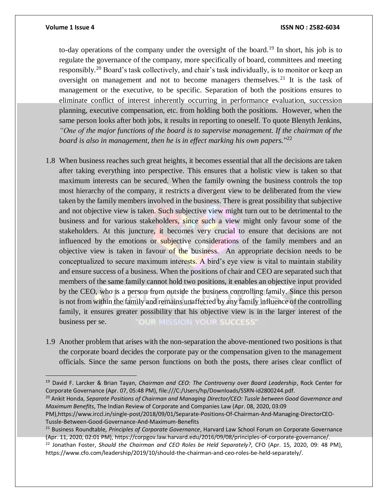to-day operations of the company under the oversight of the board.<sup>19</sup> In short, his job is to regulate the governance of the company, more specifically of board, committees and meeting responsibly.<sup>20</sup> Board's task collectively, and chair's task individually, is to monitor or keep an oversight on management and not to become managers themselves.<sup>21</sup> It is the task of management or the executive, to be specific. Separation of both the positions ensures to eliminate conflict of interest inherently occurring in performance evaluation, succession planning, executive compensation, etc. from holding both the positions. However, when the same person looks after both jobs, it results in reporting to oneself. To quote Blenyth Jenkins, *"One of the major functions of the board is to supervise management. If the chairman of the board is also in management, then he is in effect marking his own papers.*" 22

- 1.8 When business reaches such great heights, it becomes essential that all the decisions are taken after taking everything into perspective. This ensures that a holistic view is taken so that maximum interests can be secured. When the family owning the business controls the top most hierarchy of the company, it restricts a divergent view to be deliberated from the view taken by the family members involved in the business. There is great possibility that subjective and not objective view is taken. Such subjective view might turn out to be detrimental to the business and for various stakeholders, since such a view might only favour some of the stakeholders. At this juncture, it becomes very crucial to ensure that decisions are not influenced by the emotions or subjective considerations of the family members and an objective view is taken in favour of the business. An appropriate decision needs to be conceptualized to secure maximum interests. A bird's eye view is vital to maintain stability and ensure success of a business. When the positions of chair and CEO are separated such that members of the same family cannot hold two positions, it enables an objective input provided by the CEO, who is a person from outside the business controlling family. Since this person is not from within the family and remains unaffected by any family influence of the controlling family, it ensures greater possibility that his objective view is in the larger interest of the business per se. OUR MISSION YOUR SUCCESS'
- 1.9 Another problem that arises with the non-separation the above-mentioned two positions is that the corporate board decides the corporate pay or the compensation given to the management officials. Since the same person functions on both the posts, there arises clear conflict of

<sup>20</sup> Ankit Honda, *Separate Positions of Chairman and Managing Director/CEO: Tussle between Good Governance and Maximum Benefits*, The Indian Review of Corporate and Companies Law (Apr. 08, 2020, 03:09

PM),https://www.irccl.in/single-post/2018/09/01/Separate-Positions-Of-Chairman-And-Managing-DirectorCEO-Tussle-Between-Good-Governance-And-Maximum-Benefits

<sup>19</sup> David F. Larcker & Brian Tayan, *Chairman and CEO: The Controversy over Board Leadership*, Rock Center for Corporate Governance (Apr. 07, 05:48 PM), file:///C:/Users/hp/Downloads/SSRN-id2800244.pdf.

<sup>21</sup> Business Roundtable*, Principles of Corporate Governance*, Harvard Law School Forum on Corporate Governance (Apr. 11, 2020, 02:01 PM), https://corpgov.law.harvard.edu/2016/09/08/principles-of-corporate-governance/.

<sup>22</sup> Jonathan Foster, *Should the Chairman and CEO Roles be Held Separately?*, CFO (Apr. 15, 2020, 09: 48 PM), https://www.cfo.com/leadership/2019/10/should-the-chairman-and-ceo-roles-be-held-separately/.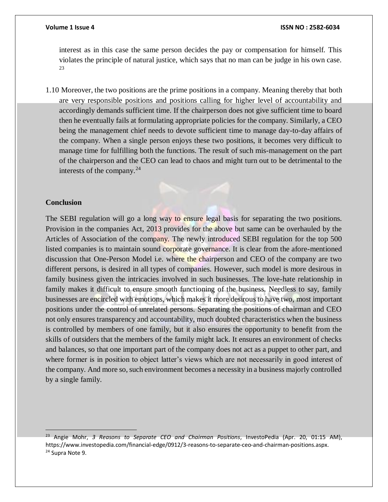interest as in this case the same person decides the pay or compensation for himself. This violates the principle of natural justice, which says that no man can be judge in his own case. 23

1.10 Moreover, the two positions are the prime positions in a company. Meaning thereby that both are very responsible positions and positions calling for higher level of accountability and accordingly demands sufficient time. If the chairperson does not give sufficient time to board then he eventually fails at formulating appropriate policies for the company. Similarly, a CEO being the management chief needs to devote sufficient time to manage day-to-day affairs of the company. When a single person enjoys these two positions, it becomes very difficult to manage time for fulfilling both the functions. The result of such mis-management on the part of the chairperson and the CEO can lead to chaos and might turn out to be detrimental to the interests of the company.  $24$ 

### **Conclusion**

The SEBI regulation will go a long way to ensure legal basis for separating the two positions. Provision in the companies Act, 2013 provides for the above but same can be overhauled by the Articles of Association of the company. The newly introduced SEBI regulation for the top 500 listed companies is to maintain sound corporate governance. It is clear from the afore-mentioned discussion that One-Person Model i.e. where the chairperson and CEO of the company are two different persons, is desired in all types of companies. However, such model is more desirous in family business given the intricacies involved in such businesses. The love-hate relationship in family makes it difficult to ensure smooth functioning of the business. Needless to say, family businesses are encircled with emotions, which makes it more desirous to have two, most important positions under the control of unrelated persons. Separating the positions of chairman and CEO not only ensures transparency and accountability, much doubted characteristics when the business is controlled by members of one family, but it also ensures the opportunity to benefit from the skills of outsiders that the members of the family might lack. It ensures an environment of checks and balances, so that one important part of the company does not act as a puppet to other part, and where former is in position to object latter's views which are not necessarily in good interest of the company. And more so, such environment becomes a necessity in a business majorly controlled by a single family.

<sup>23</sup> Angie Mohr, *3 Reasons to Separate CEO and Chairman Positions*, InvestoPedia (Apr. 20, 01:15 AM), https://www.investopedia.com/financial-edge/0912/3-reasons-to-separate-ceo-and-chairman-positions.aspx. <sup>24</sup> Supra Note 9.